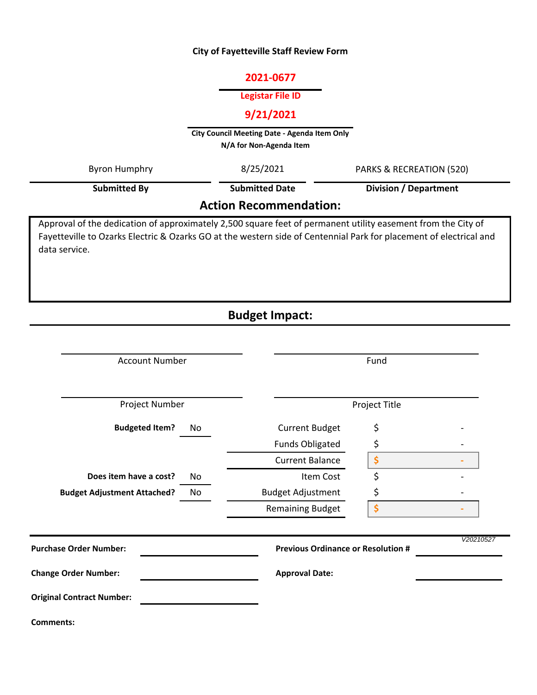#### **City of Fayetteville Staff Review Form**

### **2021-0677**

#### **Legistar File ID**

# **9/21/2021**

**City Council Meeting Date - Agenda Item Only N/A for Non-Agenda Item** 

| Byron Humphry                 | 8/25/2021             | <b>PARKS &amp; RECREATION (520)</b> |  |  |
|-------------------------------|-----------------------|-------------------------------------|--|--|
| Submitted By                  | <b>Submitted Date</b> | <b>Division / Department</b>        |  |  |
| <b>Action Recommendation:</b> |                       |                                     |  |  |

Approval of the dedication of approximately 2,500 square feet of permanent utility easement from the City of Fayetteville to Ozarks Electric & Ozarks GO at the western side of Centennial Park for placement of electrical and data service.

# **Budget Impact:**

| <b>Account Number</b>              |    | Fund                                      |    |           |
|------------------------------------|----|-------------------------------------------|----|-----------|
|                                    |    |                                           |    |           |
| Project Number                     |    | Project Title                             |    |           |
| <b>Budgeted Item?</b>              | No | <b>Current Budget</b>                     | \$ |           |
|                                    |    | <b>Funds Obligated</b>                    | \$ |           |
|                                    |    | <b>Current Balance</b>                    | \$ |           |
| Does item have a cost?             | No | Item Cost                                 | \$ |           |
| <b>Budget Adjustment Attached?</b> | No | <b>Budget Adjustment</b>                  | \$ |           |
|                                    |    | <b>Remaining Budget</b>                   | \$ |           |
| <b>Purchase Order Number:</b>      |    | <b>Previous Ordinance or Resolution #</b> |    | V20210527 |
| <b>Change Order Number:</b>        |    | <b>Approval Date:</b>                     |    |           |
| <b>Original Contract Number:</b>   |    |                                           |    |           |
| <b>Comments:</b>                   |    |                                           |    |           |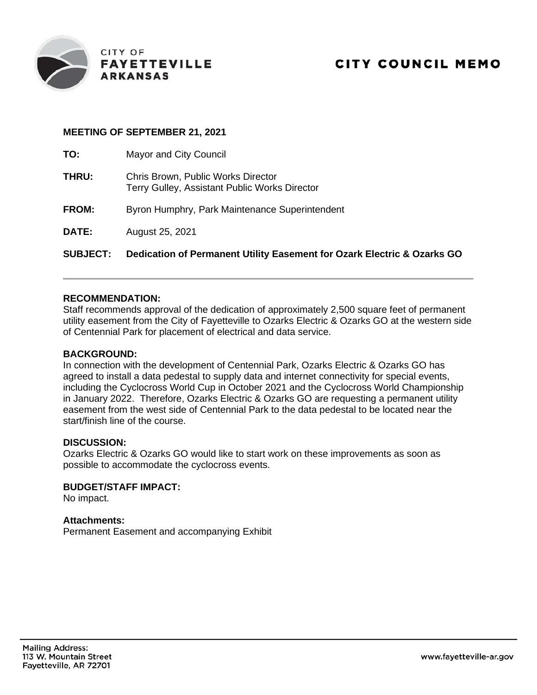

### **MEETING OF SEPTEMBER 21, 2021**

| <b>SUBJECT:</b> | Dedication of Permanent Utility Easement for Ozark Electric & Ozarks GO             |
|-----------------|-------------------------------------------------------------------------------------|
| DATE:           | August 25, 2021                                                                     |
| <b>FROM:</b>    | Byron Humphry, Park Maintenance Superintendent                                      |
| THRU:           | Chris Brown, Public Works Director<br>Terry Gulley, Assistant Public Works Director |
| TO:             | Mayor and City Council                                                              |

### **RECOMMENDATION:**

Staff recommends approval of the dedication of approximately 2,500 square feet of permanent utility easement from the City of Fayetteville to Ozarks Electric & Ozarks GO at the western side of Centennial Park for placement of electrical and data service.

#### **BACKGROUND:**

In connection with the development of Centennial Park, Ozarks Electric & Ozarks GO has agreed to install a data pedestal to supply data and internet connectivity for special events, including the Cyclocross World Cup in October 2021 and the Cyclocross World Championship in January 2022. Therefore, Ozarks Electric & Ozarks GO are requesting a permanent utility easement from the west side of Centennial Park to the data pedestal to be located near the start/finish line of the course.

#### **DISCUSSION:**

Ozarks Electric & Ozarks GO would like to start work on these improvements as soon as possible to accommodate the cyclocross events.

#### **BUDGET/STAFF IMPACT:**

No impact.

## **Attachments:**

Permanent Easement and accompanying Exhibit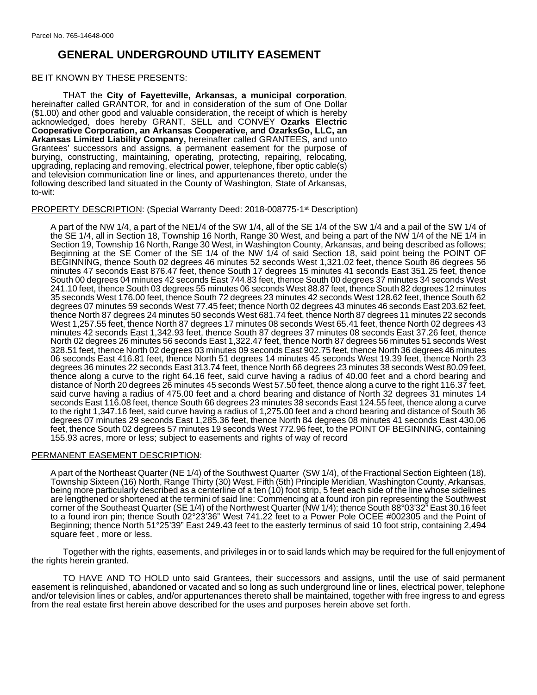# **GENERAL UNDERGROUND UTILITY EASEMENT**

#### BE IT KNOWN BY THESE PRESENTS:

THAT the **City of Fayetteville, Arkansas, a municipal corporation**, hereinafter called GRANTOR, for and in consideration of the sum of One Dollar (\$1.00) and other good and valuable consideration, the receipt of which is hereby acknowledged, does hereby GRANT, SELL and CONVEY **Ozarks Electric Cooperative Corporation, an Arkansas Cooperative, and OzarksGo, LLC, an Arkansas Limited Liability Company,** hereinafter called GRANTEES, and unto Grantees' successors and assigns, a permanent easement for the purpose of burying, constructing, maintaining, operating, protecting, repairing, relocating, upgrading, replacing and removing, electrical power, telephone, fiber optic cable(s) and television communication line or lines, and appurtenances thereto, under the following described land situated in the County of Washington, State of Arkansas, to-wit:

#### PROPERTY DESCRIPTION: (Special Warranty Deed: 2018-008775-1st Description)

A part of the NW 1/4, a part of the NE1/4 of the SW 1/4, all of the SE 1/4 of the SW 1/4 and a pail of the SW 1/4 of the SE 1/4, all in Section 18, Township 16 North, Range 30 West, and being a part of the NW 1/4 of the NE 1/4 in Section 19, Township 16 North, Range 30 West, in Washington County, Arkansas, and being described as follows; Beginning at the SE Comer of the SE 1/4 of the NW 1/4 of said Section 18, said point being the POINT OF BEGINNING, thence South 02 degrees 46 minutes 52 seconds West 1,321.02 feet, thence South 86 degrees 56 minutes 47 seconds East 876.47 feet, thence South 17 degrees 15 minutes 41 seconds East 351.25 feet, thence South 00 degrees 04 minutes 42 seconds East 744.83 feet, thence South 00 degrees 37 minutes 34 seconds West 241.10 feet, thence South 03 degrees 55 minutes 06 seconds West 88.87 feet, thence South 82 degrees 12 minutes 35 seconds West 176.00 feet, thence South 72 degrees 23 minutes 42 seconds West 128.62 feet, thence South 62 degrees 07 minutes 59 seconds West 77.45 feet; thence North 02 degrees 43 minutes 46 seconds East 203.62 feet, thence North 87 degrees 24 minutes 50 seconds West 681.74 feet, thence North 87 degrees 11 minutes 22 seconds West 1,257.55 feet, thence North 87 degrees 17 minutes 08 seconds West 65.41 feet, thence North 02 degrees 43 minutes 42 seconds East 1,342.93 feet, thence South 87 degrees 37 minutes 08 seconds East 37.26 feet, thence North 02 degrees 26 minutes 56 seconds East 1,322.47 feet, thence North 87 degrees 56 minutes 51 seconds West 328.51 feet, thence North 02 degrees 03 minutes 09 seconds East 902.75 feet, thence North 36 degrees 46 minutes 06 seconds East 416.81 feet, thence North 51 degrees 14 minutes 45 seconds West 19.39 feet, thence North 23 degrees 36 minutes 22 seconds East 313.74 feet, thence North 66 degrees 23 minutes 38 seconds West 80.09 feet, thence along a curve to the right 64.16 feet, said curve having a radius of 40.00 feet and a chord bearing and distance of North 20 degrees 26 minutes 45 seconds West 57.50 feet, thence along a curve to the right 116.37 feet, said curve having a radius of 475.00 feet and a chord bearing and distance of North 32 degrees 31 minutes 14 seconds East 116.08 feet, thence South 66 degrees 23 minutes 38 seconds East 124.55 feet, thence along a curve to the right 1,347.16 feet, said curve having a radius of 1,275.00 feet and a chord bearing and distance of South 36 degrees 07 minutes 29 seconds East 1,285.36 feet, thence North 84 degrees 08 minutes 41 seconds East 430.06 feet, thence South 02 degrees 57 minutes 19 seconds West 772.96 feet, to the POINT OF BEGINNING, containing 155.93 acres, more or less; subject to easements and rights of way of record

#### PERMANENT EASEMENT DESCRIPTION:

A part of the Northeast Quarter (NE 1/4) of the Southwest Quarter (SW 1/4), of the Fractional Section Eighteen (18), Township Sixteen (16) North, Range Thirty (30) West, Fifth (5th) Principle Meridian, Washington County, Arkansas, being more particularly described as a centerline of a ten (10) foot strip, 5 feet each side of the line whose sidelines are lengthened or shortened at the termini of said line: Commencing at a found iron pin representing the Southwest corner of the Southeast Quarter (SE 1/4) of the Northwest Quarter (NW 1/4); thence South 88°03'32" East 30.16 feet to a found iron pin; thence South 02°23'36" West 741.22 feet to a Power Pole OCEE #002305 and the Point of Beginning; thence North 51°25'39" East 249.43 feet to the easterly terminus of said 10 foot strip, containing 2,494 square feet , more or less.

Together with the rights, easements, and privileges in or to said lands which may be required for the full enjoyment of the rights herein granted.

TO HAVE AND TO HOLD unto said Grantees, their successors and assigns, until the use of said permanent easement is relinquished, abandoned or vacated and so long as such underground line or lines, electrical power, telephone and/or television lines or cables, and/or appurtenances thereto shall be maintained, together with free ingress to and egress from the real estate first herein above described for the uses and purposes herein above set forth.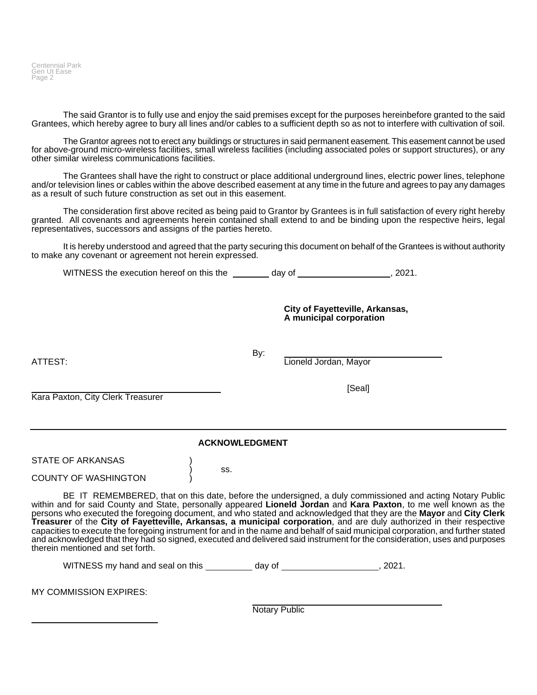Centennial Park Gen Ut Ease Page 2

The said Grantor is to fully use and enjoy the said premises except for the purposes hereinbefore granted to the said Grantees, which hereby agree to bury all lines and/or cables to a sufficient depth so as not to interfere with cultivation of soil.

The Grantor agrees not to erect any buildings or structures in said permanent easement. This easement cannot be used for above-ground micro-wireless facilities, small wireless facilities (including associated poles or support structures), or any other similar wireless communications facilities.

The Grantees shall have the right to construct or place additional underground lines, electric power lines, telephone and/or television lines or cables within the above described easement at any time in the future and agrees to pay any damages as a result of such future construction as set out in this easement.

The consideration first above recited as being paid to Grantor by Grantees is in full satisfaction of every right hereby granted. All covenants and agreements herein contained shall extend to and be binding upon the respective heirs, legal representatives, successors and assigns of the parties hereto.

It is hereby understood and agreed that the party securing this document on behalf of the Grantees is without authority to make any covenant or agreement not herein expressed.

WITNESS the execution hereof on this the day of  $(2021)$ .

**City of Fayetteville, Arkansas, A municipal corporation**

[Seal]

By:

ATTEST: Lioneld Jordan, Mayor

Kara Paxton, City Clerk Treasurer

**ACKNOWLEDGMENT**

) ss.

STATE OF ARKANSAS

COUNTY OF WASHINGTON )

BE IT REMEMBERED, that on this date, before the undersigned, a duly commissioned and acting Notary Public within and for said County and State, personally appeared **Lioneld Jordan** and **Kara Paxton**, to me well known as the persons who executed the foregoing document, and who stated and acknowledged that they are the **Mayor** and **City Clerk Treasurer** of the **City of Fayetteville, Arkansas, a municipal corporation**, and are duly authorized in their respective capacities to execute the foregoing instrument for and in the name and behalf of said municipal corporation, and further stated and acknowledged that they had so signed, executed and delivered said instrument for the consideration, uses and purposes therein mentioned and set forth.

WITNESS my hand and seal on this \_\_\_\_\_\_\_\_\_ day of \_\_\_\_\_\_\_\_\_\_\_\_\_\_\_\_\_\_\_\_, 2021.

MY COMMISSION EXPIRES:

Notary Public